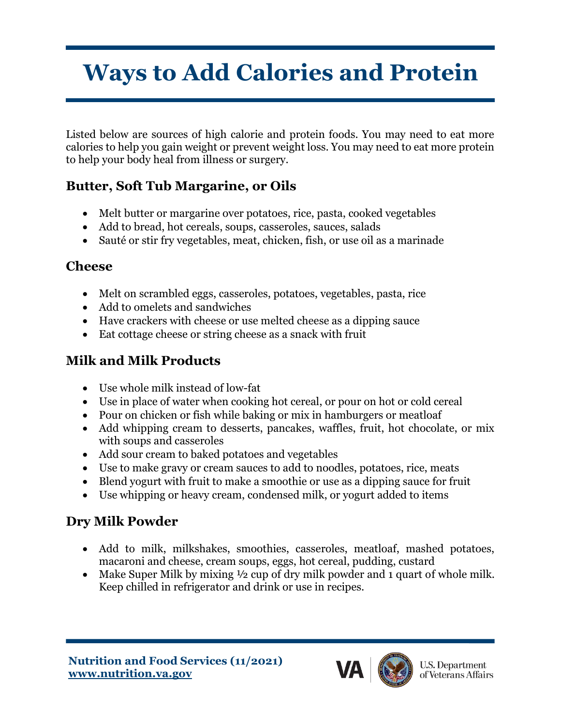# **Ways to Add Calories and Protein**

Listed below are sources of high calorie and protein foods. You may need to eat more calories to help you gain weight or prevent weight loss. You may need to eat more protein to help your body heal from illness or surgery.

## **Butter, Soft Tub Margarine, or Oils**

- Melt butter or margarine over potatoes, rice, pasta, cooked vegetables
- Add to bread, hot cereals, soups, casseroles, sauces, salads
- Sauté or stir fry vegetables, meat, chicken, fish, or use oil as a marinade

#### **Cheese**

- Melt on scrambled eggs, casseroles, potatoes, vegetables, pasta, rice
- Add to omelets and sandwiches
- Have crackers with cheese or use melted cheese as a dipping sauce
- Eat cottage cheese or string cheese as a snack with fruit

## **Milk and Milk Products**

- Use whole milk instead of low-fat
- Use in place of water when cooking hot cereal, or pour on hot or cold cereal
- Pour on chicken or fish while baking or mix in hamburgers or meatloaf
- Add whipping cream to desserts, pancakes, waffles, fruit, hot chocolate, or mix with soups and casseroles
- Add sour cream to baked potatoes and vegetables
- Use to make gravy or cream sauces to add to noodles, potatoes, rice, meats
- Blend yogurt with fruit to make a smoothie or use as a dipping sauce for fruit
- Use whipping or heavy cream, condensed milk, or yogurt added to items

## **Dry Milk Powder**

- Add to milk, milkshakes, smoothies, casseroles, meatloaf, mashed potatoes, macaroni and cheese, cream soups, eggs, hot cereal, pudding, custard
- Make Super Milk by mixing  $\frac{1}{2}$  cup of dry milk powder and 1 quart of whole milk. Keep chilled in refrigerator and drink or use in recipes.

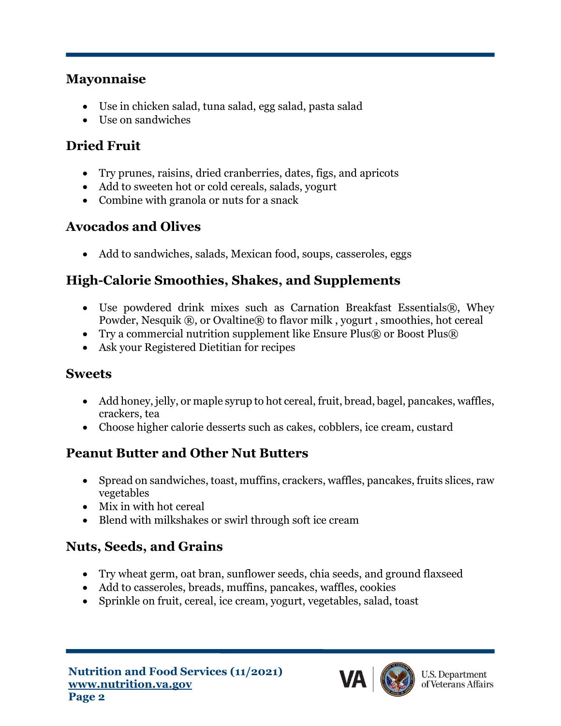#### **Mayonnaise**

- Use in chicken salad, tuna salad, egg salad, pasta salad
- Use on sandwiches

## **Dried Fruit**

- Try prunes, raisins, dried cranberries, dates, figs, and apricots
- Add to sweeten hot or cold cereals, salads, yogurt
- Combine with granola or nuts for a snack

# **Avocados and Olives**

• Add to sandwiches, salads, Mexican food, soups, casseroles, eggs

# **High-Calorie Smoothies, Shakes, and Supplements**

- Use powdered drink mixes such as Carnation Breakfast Essentials®, Whey Powder, Nesquik ®, or Ovaltine® to flavor milk, yogurt, smoothies, hot cereal
- Try a commercial nutrition supplement like Ensure Plus $\mathbb R$  or Boost Plus $\mathbb R$
- Ask your Registered Dietitian for recipes

### **Sweets**

- Add honey, jelly, or maple syrup to hot cereal, fruit, bread, bagel, pancakes, waffles, crackers, tea
- Choose higher calorie desserts such as cakes, cobblers, ice cream, custard

# **Peanut Butter and Other Nut Butters**

- Spread on sandwiches, toast, muffins, crackers, waffles, pancakes, fruits slices, raw vegetables
- Mix in with hot cereal
- Blend with milkshakes or swirl through soft ice cream

# **Nuts, Seeds, and Grains**

- Try wheat germ, oat bran, sunflower seeds, chia seeds, and ground flaxseed
- Add to casseroles, breads, muffins, pancakes, waffles, cookies
- Sprinkle on fruit, cereal, ice cream, yogurt, vegetables, salad, toast

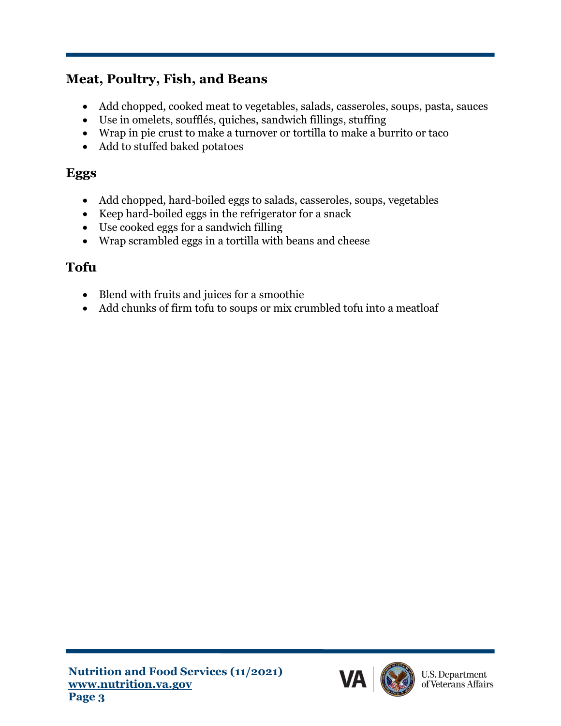# **Meat, Poultry, Fish, and Beans**

- Add chopped, cooked meat to vegetables, salads, casseroles, soups, pasta, sauces
- Use in omelets, soufflés, quiches, sandwich fillings, stuffing
- Wrap in pie crust to make a turnover or tortilla to make a burrito or taco
- Add to stuffed baked potatoes

## **Eggs**

- Add chopped, hard-boiled eggs to salads, casseroles, soups, vegetables
- Keep hard-boiled eggs in the refrigerator for a snack
- Use cooked eggs for a sandwich filling
- Wrap scrambled eggs in a tortilla with beans and cheese

## **Tofu**

- Blend with fruits and juices for a smoothie
- Add chunks of firm tofu to soups or mix crumbled tofu into a meatloaf